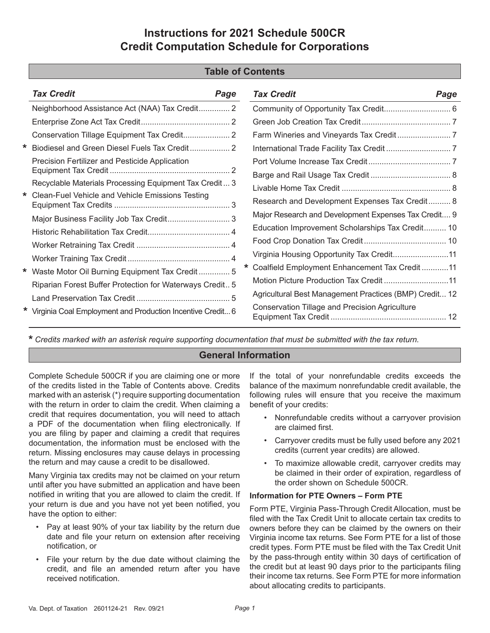# **Instructions for 2021 Schedule 500CR Credit Computation Schedule for Corporations**

## **Table of Contents**

|         | <b>Tax Credit</b><br>Page                                    | <b>Tax Credit</b>                                      | Page |
|---------|--------------------------------------------------------------|--------------------------------------------------------|------|
|         | Neighborhood Assistance Act (NAA) Tax Credit 2               |                                                        |      |
|         |                                                              |                                                        |      |
|         |                                                              |                                                        |      |
|         | Biodiesel and Green Diesel Fuels Tax Credit 2                |                                                        |      |
|         | Precision Fertilizer and Pesticide Application               |                                                        |      |
|         |                                                              |                                                        |      |
|         | Recyclable Materials Processing Equipment Tax Credit 3       |                                                        |      |
| $\star$ | Clean-Fuel Vehicle and Vehicle Emissions Testing             | Research and Development Expenses Tax Credit 8         |      |
|         | Major Business Facility Job Tax Credit 3                     | Major Research and Development Expenses Tax Credit 9   |      |
|         |                                                              | Education Improvement Scholarships Tax Credit 10       |      |
|         |                                                              |                                                        |      |
|         |                                                              | Virginia Housing Opportunity Tax Credit11              |      |
|         | * Waste Motor Oil Burning Equipment Tax Credit 5             | Coalfield Employment Enhancement Tax Credit11          |      |
|         | Riparian Forest Buffer Protection for Waterways Credit 5     |                                                        |      |
|         |                                                              | Agricultural Best Management Practices (BMP) Credit 12 |      |
|         | * Virginia Coal Employment and Production Incentive Credit 6 | <b>Conservation Tillage and Precision Agriculture</b>  |      |

**\*** *Credits marked with an asterisk require supporting documentation that must be submitted with the tax return.*

## **General Information**

Complete Schedule 500CR if you are claiming one or more of the credits listed in the Table of Contents above. Credits marked with an asterisk (\*) require supporting documentation with the return in order to claim the credit. When claiming a credit that requires documentation, you will need to attach a PDF of the documentation when filing electronically. If you are filing by paper and claiming a credit that requires documentation, the information must be enclosed with the return. Missing enclosures may cause delays in processing the return and may cause a credit to be disallowed.

Many Virginia tax credits may not be claimed on your return until after you have submitted an application and have been notified in writing that you are allowed to claim the credit. If your return is due and you have not yet been notified, you have the option to either:

- Pay at least 90% of your tax liability by the return due date and file your return on extension after receiving notification, or
- File your return by the due date without claiming the credit, and file an amended return after you have received notification.

If the total of your nonrefundable credits exceeds the balance of the maximum nonrefundable credit available, the following rules will ensure that you receive the maximum benefit of your credits:

- Nonrefundable credits without a carryover provision are claimed first.
- Carryover credits must be fully used before any 2021 credits (current year credits) are allowed.
- To maximize allowable credit, carryover credits may be claimed in their order of expiration, regardless of the order shown on Schedule 500CR.

#### **Information for PTE Owners – Form PTE**

Form PTE, Virginia Pass-Through Credit Allocation, must be filed with the Tax Credit Unit to allocate certain tax credits to owners before they can be claimed by the owners on their Virginia income tax returns. See Form PTE for a list of those credit types. Form PTE must be filed with the Tax Credit Unit by the pass-through entity within 30 days of certification of the credit but at least 90 days prior to the participants filing their income tax returns. See Form PTE for more information about allocating credits to participants.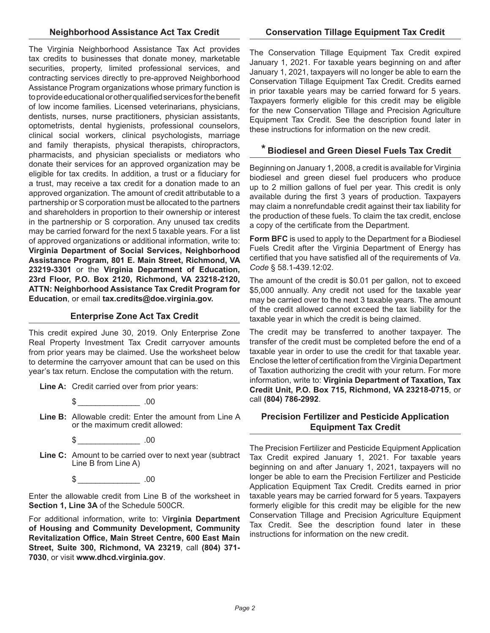The Virginia Neighborhood Assistance Tax Act provides tax credits to businesses that donate money, marketable securities, property, limited professional services, and contracting services directly to pre-approved Neighborhood Assistance Program organizations whose primary function is to provide educational or other qualified services for the benefit of low income families. Licensed veterinarians, physicians, dentists, nurses, nurse practitioners, physician assistants, optometrists, dental hygienists, professional counselors, clinical social workers, clinical psychologists, marriage and family therapists, physical therapists, chiropractors, pharmacists, and physician specialists or mediators who donate their services for an approved organization may be eligible for tax credits. In addition, a trust or a fiduciary for a trust, may receive a tax credit for a donation made to an approved organization. The amount of credit attributable to a partnership or S corporation must be allocated to the partners and shareholders in proportion to their ownership or interest in the partnership or S corporation. Any unused tax credits may be carried forward for the next 5 taxable years. For a list of approved organizations or additional information, write to: **Virginia Department of Social Services, Neighborhood Assistance Program, 801 E. Main Street, Richmond, VA 23219-3301** or the **Virginia Department of Education, 23rd Floor, P.O. Box 2120, Richmond, VA 23218-2120, ATTN: Neighborhood Assistance Tax Credit Program for Education**, or email **tax.credits@doe.virginia.gov.**

#### **Enterprise Zone Act Tax Credit**

This credit expired June 30, 2019. Only Enterprise Zone Real Property Investment Tax Credit carryover amounts from prior years may be claimed. Use the worksheet below to determine the carryover amount that can be used on this year's tax return. Enclose the computation with the return.

**Line A:** Credit carried over from prior years:

 $\text{\$}$  .00

**Line B:** Allowable credit: Enter the amount from Line A or the maximum credit allowed:

 $\textcircled{1}$ 

**Line C:** Amount to be carried over to next year (subtract Line B from Line A)

 $\frac{1}{2}$  .00

Enter the allowable credit from Line B of the worksheet in **Section 1, Line 3A** of the Schedule 500CR.

For additional information, write to: V**irginia Department of Housing and Community Development, Community Revitalization Office, Main Street Centre, 600 East Main Street, Suite 300, Richmond, VA 23219**, call **(804) 371- 7030**, or visit **www.dhcd.virginia.gov**.

The Conservation Tillage Equipment Tax Credit expired January 1, 2021. For taxable years beginning on and after January 1, 2021, taxpayers will no longer be able to earn the Conservation Tillage Equipment Tax Credit. Credits earned in prior taxable years may be carried forward for 5 years. Taxpayers formerly eligible for this credit may be eligible for the new Conservation Tillage and Precision Agriculture Equipment Tax Credit. See the description found later in these instructions for information on the new credit.

# **\* Biodiesel and Green Diesel Fuels Tax Credit**

Beginning on January 1, 2008, a credit is available for Virginia biodiesel and green diesel fuel producers who produce up to 2 million gallons of fuel per year. This credit is only available during the first 3 years of production. Taxpayers may claim a nonrefundable credit against their tax liability for the production of these fuels. To claim the tax credit, enclose a copy of the certificate from the Department.

**Form BFC** is used to apply to the Department for a Biodiesel Fuels Credit after the Virginia Department of Energy has certified that you have satisfied all of the requirements of *Va. Code* § 58.1-439.12:02.

The amount of the credit is \$0.01 per gallon, not to exceed \$5,000 annually. Any credit not used for the taxable year may be carried over to the next 3 taxable years. The amount of the credit allowed cannot exceed the tax liability for the taxable year in which the credit is being claimed.

The credit may be transferred to another taxpayer. The transfer of the credit must be completed before the end of a taxable year in order to use the credit for that taxable year. Enclose the letter of certification from the Virginia Department of Taxation authorizing the credit with your return. For more information, write to: **Virginia Department of Taxation, Tax Credit Unit, P.O. Box 715, Richmond, VA 23218-0715**, or call **(804) 786-2992**.

## **Precision Fertilizer and Pesticide Application Equipment Tax Credit**

The Precision Fertilizer and Pesticide Equipment Application Tax Credit expired January 1, 2021. For taxable years beginning on and after January 1, 2021, taxpayers will no longer be able to earn the Precision Fertilizer and Pesticide Application Equipment Tax Credit. Credits earned in prior taxable years may be carried forward for 5 years. Taxpayers formerly eligible for this credit may be eligible for the new Conservation Tillage and Precision Agriculture Equipment Tax Credit. See the description found later in these instructions for information on the new credit.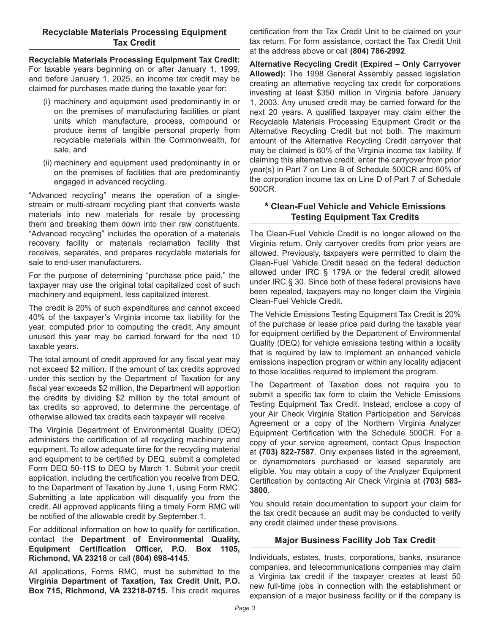#### **Recyclable Materials Processing Equipment Tax Credit**

**Recyclable Materials Processing Equipment Tax Credit:**  For taxable years beginning on or after January 1, 1999, and before January 1, 2025, an income tax credit may be claimed for purchases made during the taxable year for:

- (i) machinery and equipment used predominantly in or on the premises of manufacturing facilities or plant units which manufacture, process, compound or produce items of tangible personal property from recyclable materials within the Commonwealth, for sale, and
- (ii) machinery and equipment used predominantly in or on the premises of facilities that are predominantly engaged in advanced recycling.

"Advanced recycling" means the operation of a singlestream or multi-stream recycling plant that converts waste materials into new materials for resale by processing them and breaking them down into their raw constituents. "Advanced recycling" includes the operation of a materials recovery facility or materials reclamation facility that receives, separates, and prepares recyclable materials for sale to end-user manufacturers.

For the purpose of determining "purchase price paid," the taxpayer may use the original total capitalized cost of such machinery and equipment, less capitalized interest.

The credit is 20% of such expenditures and cannot exceed 40% of the taxpayer's Virginia income tax liability for the year, computed prior to computing the credit. Any amount unused this year may be carried forward for the next 10 taxable years.

The total amount of credit approved for any fiscal year may not exceed \$2 million. If the amount of tax credits approved under this section by the Department of Taxation for any fiscal year exceeds \$2 million, the Department will apportion the credits by dividing \$2 million by the total amount of tax credits so approved, to determine the percentage of otherwise allowed tax credits each taxpayer will receive.

The Virginia Department of Environmental Quality (DEQ) administers the certification of all recycling machinery and equipment. To allow adequate time for the recycling material and equipment to be certified by DEQ, submit a completed Form DEQ 50-11S to DEQ by March 1. Submit your credit application, including the certification you receive from DEQ, to the Department of Taxation by June 1, using Form RMC. Submitting a late application will disqualify you from the credit. All approved applicants filing a timely Form RMC will be notified of the allowable credit by September 1.

For additional information on how to qualify for certification, contact the **Department of Environmental Quality, Equipment Certification Officer, P.O. Box 1105, Richmond, VA 23218** or call **(804) 698-4145**.

All applications, Forms RMC, must be submitted to the **Virginia Department of Taxation, Tax Credit Unit, P.O. Box 715, Richmond, VA 23218-0715.** This credit requires certification from the Tax Credit Unit to be claimed on your tax return. For form assistance, contact the Tax Credit Unit at the address above or call **(804) 786-2992**.

**Alternative Recycling Credit (Expired – Only Carryover Allowed):** The 1998 General Assembly passed legislation creating an alternative recycling tax credit for corporations investing at least \$350 million in Virginia before January 1, 2003. Any unused credit may be carried forward for the next 20 years. A qualified taxpayer may claim either the Recyclable Materials Processing Equipment Credit or the Alternative Recycling Credit but not both. The maximum amount of the Alternative Recycling Credit carryover that may be claimed is 60% of the Virginia income tax liability. If claiming this alternative credit, enter the carryover from prior year(s) in Part 7 on Line B of Schedule 500CR and 60% of the corporation income tax on Line D of Part 7 of Schedule 500CR.

#### **\* Clean-Fuel Vehicle and Vehicle Emissions Testing Equipment Tax Credits**

The Clean-Fuel Vehicle Credit is no longer allowed on the Virginia return. Only carryover credits from prior years are allowed. Previously, taxpayers were permitted to claim the Clean-Fuel Vehicle Credit based on the federal deduction allowed under IRC § 179A or the federal credit allowed under IRC § 30. Since both of these federal provisions have been repealed, taxpayers may no longer claim the Virginia Clean-Fuel Vehicle Credit.

The Vehicle Emissions Testing Equipment Tax Credit is 20% of the purchase or lease price paid during the taxable year for equipment certified by the Department of Environmental Quality (DEQ) for vehicle emissions testing within a locality that is required by law to implement an enhanced vehicle emissions inspection program or within any locality adjacent to those localities required to implement the program.

The Department of Taxation does not require you to submit a specific tax form to claim the Vehicle Emissions Testing Equipment Tax Credit. Instead, enclose a copy of your Air Check Virginia Station Participation and Services Agreement or a copy of the Northern Virginia Analyzer Equipment Certification with the Schedule 500CR. For a copy of your service agreement, contact Opus Inspection at **(703) 822-7587**. Only expenses listed in the agreement, or dynamometers purchased or leased separately are eligible. You may obtain a copy of the Analyzer Equipment Certification by contacting Air Check Virginia at **(703) 583- 3800**.

You should retain documentation to support your claim for the tax credit because an audit may be conducted to verify any credit claimed under these provisions.

## **Major Business Facility Job Tax Credit**

Individuals, estates, trusts, corporations, banks, insurance companies, and telecommunications companies may claim a Virginia tax credit if the taxpayer creates at least 50 new full-time jobs in connection with the establishment or expansion of a major business facility or if the company is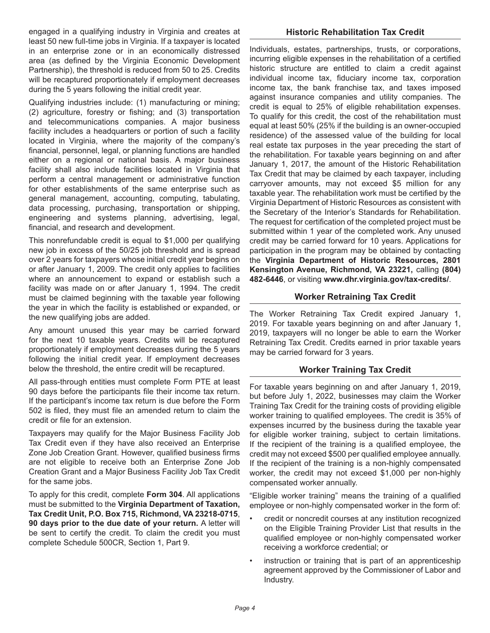engaged in a qualifying industry in Virginia and creates at least 50 new full-time jobs in Virginia. If a taxpayer is located in an enterprise zone or in an economically distressed area (as defined by the Virginia Economic Development Partnership), the threshold is reduced from 50 to 25. Credits will be recaptured proportionately if employment decreases during the 5 years following the initial credit year.

Qualifying industries include: (1) manufacturing or mining; (2) agriculture, forestry or fishing; and (3) transportation and telecommunications companies. A major business facility includes a headquarters or portion of such a facility located in Virginia, where the majority of the company's financial, personnel, legal, or planning functions are handled either on a regional or national basis. A major business facility shall also include facilities located in Virginia that perform a central management or administrative function for other establishments of the same enterprise such as general management, accounting, computing, tabulating, data processing, purchasing, transportation or shipping, engineering and systems planning, advertising, legal, financial, and research and development.

This nonrefundable credit is equal to \$1,000 per qualifying new job in excess of the 50/25 job threshold and is spread over 2 years for taxpayers whose initial credit year begins on or after January 1, 2009. The credit only applies to facilities where an announcement to expand or establish such a facility was made on or after January 1, 1994. The credit must be claimed beginning with the taxable year following the year in which the facility is established or expanded, or the new qualifying jobs are added.

Any amount unused this year may be carried forward for the next 10 taxable years. Credits will be recaptured proportionately if employment decreases during the 5 years following the initial credit year. If employment decreases below the threshold, the entire credit will be recaptured.

All pass-through entities must complete Form PTE at least 90 days before the participants file their income tax return. If the participant's income tax return is due before the Form 502 is filed, they must file an amended return to claim the credit or file for an extension.

Taxpayers may qualify for the Major Business Facility Job Tax Credit even if they have also received an Enterprise Zone Job Creation Grant. However, qualified business firms are not eligible to receive both an Enterprise Zone Job Creation Grant and a Major Business Facility Job Tax Credit for the same jobs.

To apply for this credit, complete **Form 304**. All applications must be submitted to the **Virginia Department of Taxation, Tax Credit Unit, P.O. Box 715, Richmond, VA 23218-0715**, **90 days prior to the due date of your return.** A letter will be sent to certify the credit. To claim the credit you must complete Schedule 500CR, Section 1, Part 9.

#### **Historic Rehabilitation Tax Credit**

Individuals, estates, partnerships, trusts, or corporations, incurring eligible expenses in the rehabilitation of a certified historic structure are entitled to claim a credit against individual income tax, fiduciary income tax, corporation income tax, the bank franchise tax, and taxes imposed against insurance companies and utility companies. The credit is equal to 25% of eligible rehabilitation expenses. To qualify for this credit, the cost of the rehabilitation must equal at least 50% (25% if the building is an owner-occupied residence) of the assessed value of the building for local real estate tax purposes in the year preceding the start of the rehabilitation. For taxable years beginning on and after January 1, 2017, the amount of the Historic Rehabilitation Tax Credit that may be claimed by each taxpayer, including carryover amounts, may not exceed \$5 million for any taxable year. The rehabilitation work must be certified by the Virginia Department of Historic Resources as consistent with the Secretary of the Interior's Standards for Rehabilitation. The request for certification of the completed project must be submitted within 1 year of the completed work. Any unused credit may be carried forward for 10 years. Applications for participation in the program may be obtained by contacting the **Virginia Department of Historic Resources, 2801 Kensington Avenue, Richmond, VA 23221,** calling **(804) 482-6446**, or visiting **www.dhr.virginia.gov/tax-credits/**.

#### **Worker Retraining Tax Credit**

The Worker Retraining Tax Credit expired January 1, 2019. For taxable years beginning on and after January 1, 2019, taxpayers will no longer be able to earn the Worker Retraining Tax Credit. Credits earned in prior taxable years may be carried forward for 3 years.

## **Worker Training Tax Credit**

For taxable years beginning on and after January 1, 2019, but before July 1, 2022, businesses may claim the Worker Training Tax Credit for the training costs of providing eligible worker training to qualified employees. The credit is 35% of expenses incurred by the business during the taxable year for eligible worker training, subject to certain limitations. If the recipient of the training is a qualified employee, the credit may not exceed \$500 per qualified employee annually. If the recipient of the training is a non-highly compensated worker, the credit may not exceed \$1,000 per non-highly compensated worker annually.

"Eligible worker training" means the training of a qualified employee or non-highly compensated worker in the form of:

- credit or noncredit courses at any institution recognized on the Eligible Training Provider List that results in the qualified employee or non-highly compensated worker receiving a workforce credential; or
- instruction or training that is part of an apprenticeship agreement approved by the Commissioner of Labor and Industry.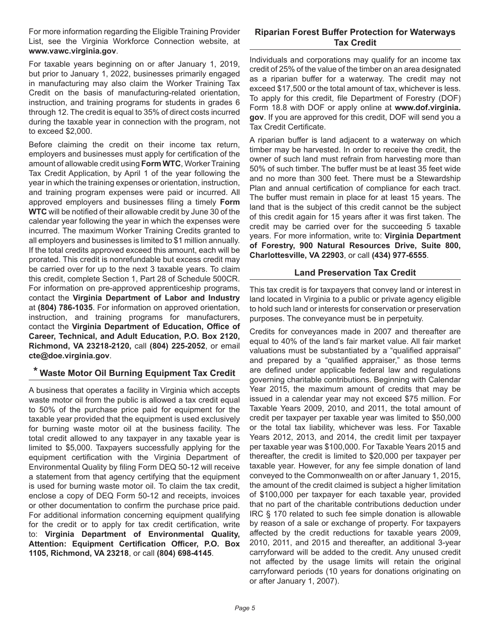For more information regarding the Eligible Training Provider List, see the Virginia Workforce Connection website, at **www.vawc.virginia.gov**.

For taxable years beginning on or after January 1, 2019, but prior to January 1, 2022, businesses primarily engaged in manufacturing may also claim the Worker Training Tax Credit on the basis of manufacturing-related orientation, instruction, and training programs for students in grades 6 through 12. The credit is equal to 35% of direct costs incurred during the taxable year in connection with the program, not to exceed \$2,000.

Before claiming the credit on their income tax return, employers and businesses must apply for certification of the amount of allowable credit using **Form WTC**, Worker Training Tax Credit Application, by April 1 of the year following the year in which the training expenses or orientation, instruction, and training program expenses were paid or incurred. All approved employers and businesses filing a timely **Form WTC** will be notified of their allowable credit by June 30 of the calendar year following the year in which the expenses were incurred. The maximum Worker Training Credits granted to all employers and businesses is limited to \$1 million annually. If the total credits approved exceed this amount, each will be prorated. This credit is nonrefundable but excess credit may be carried over for up to the next 3 taxable years. To claim this credit, complete Section 1, Part 28 of Schedule 500CR. For information on pre-approved apprenticeship programs, contact the **Virginia Department of Labor and Industry** at **(804) 786-1035**. For information on approved orientation, instruction, and training programs for manufacturers, contact the **Virginia Department of Education, Office of Career, Technical, and Adult Education, P.O. Box 2120, Richmond, VA 23218-2120,** call **(804) 225-2052**, or email **cte@doe.virginia.gov**.

# **\* Waste Motor Oil Burning Equipment Tax Credit**

A business that operates a facility in Virginia which accepts waste motor oil from the public is allowed a tax credit equal to 50% of the purchase price paid for equipment for the taxable year provided that the equipment is used exclusively for burning waste motor oil at the business facility. The total credit allowed to any taxpayer in any taxable year is limited to \$5,000. Taxpayers successfully applying for the equipment certification with the Virginia Department of Environmental Quality by filing Form DEQ 50-12 will receive a statement from that agency certifying that the equipment is used for burning waste motor oil. To claim the tax credit, enclose a copy of DEQ Form 50-12 and receipts, invoices or other documentation to confirm the purchase price paid. For additional information concerning equipment qualifying for the credit or to apply for tax credit certification, write to: **Virginia Department of Environmental Quality, Attention: Equipment Certification Officer, P.O. Box 1105, Richmond, VA 23218**, or call **(804) 698-4145**.

# **Riparian Forest Buffer Protection for Waterways Tax Credit**

Individuals and corporations may qualify for an income tax credit of 25% of the value of the timber on an area designated as a riparian buffer for a waterway. The credit may not exceed \$17,500 or the total amount of tax, whichever is less. To apply for this credit, file Department of Forestry (DOF) Form 18.8 with DOF or apply online at **www.dof.virginia. gov**. If you are approved for this credit, DOF will send you a Tax Credit Certificate.

A riparian buffer is land adjacent to a waterway on which timber may be harvested. In order to receive the credit, the owner of such land must refrain from harvesting more than 50% of such timber. The buffer must be at least 35 feet wide and no more than 300 feet. There must be a Stewardship Plan and annual certification of compliance for each tract. The buffer must remain in place for at least 15 years. The land that is the subject of this credit cannot be the subject of this credit again for 15 years after it was first taken. The credit may be carried over for the succeeding 5 taxable years. For more information, write to: **Virginia Department of Forestry, 900 Natural Resources Drive, Suite 800, Charlottesville, VA 22903**, or call **(434) 977-6555**.

# **Land Preservation Tax Credit**

This tax credit is for taxpayers that convey land or interest in land located in Virginia to a public or private agency eligible to hold such land or interests for conservation or preservation purposes. The conveyance must be in perpetuity.

Credits for conveyances made in 2007 and thereafter are equal to 40% of the land's fair market value. All fair market valuations must be substantiated by a "qualified appraisal" and prepared by a "qualified appraiser," as those terms are defined under applicable federal law and regulations governing charitable contributions. Beginning with Calendar Year 2015, the maximum amount of credits that may be issued in a calendar year may not exceed \$75 million. For Taxable Years 2009, 2010, and 2011, the total amount of credit per taxpayer per taxable year was limited to \$50,000 or the total tax liability, whichever was less. For Taxable Years 2012, 2013, and 2014, the credit limit per taxpayer per taxable year was \$100,000. For Taxable Years 2015 and thereafter, the credit is limited to \$20,000 per taxpayer per taxable year. However, for any fee simple donation of land conveyed to the Commonwealth on or after January 1, 2015, the amount of the credit claimed is subject a higher limitation of \$100,000 per taxpayer for each taxable year, provided that no part of the charitable contributions deduction under IRC § 170 related to such fee simple donation is allowable by reason of a sale or exchange of property. For taxpayers affected by the credit reductions for taxable years 2009, 2010, 2011, and 2015 and thereafter, an additional 3-year carryforward will be added to the credit. Any unused credit not affected by the usage limits will retain the original carryforward periods (10 years for donations originating on or after January 1, 2007).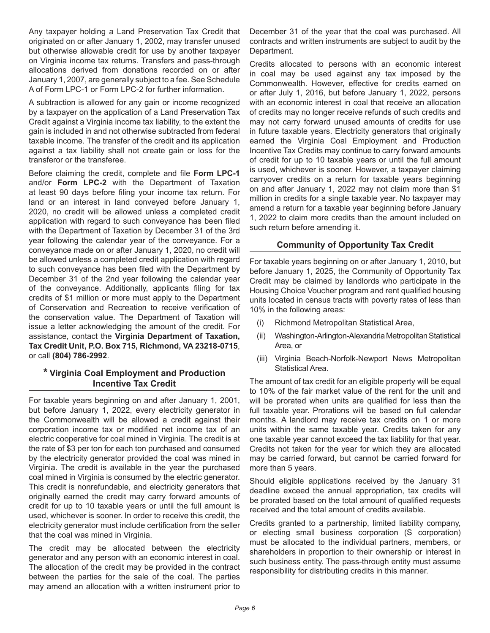Any taxpayer holding a Land Preservation Tax Credit that originated on or after January 1, 2002, may transfer unused but otherwise allowable credit for use by another taxpayer on Virginia income tax returns. Transfers and pass-through allocations derived from donations recorded on or after January 1, 2007, are generally subject to a fee. See Schedule A of Form LPC-1 or Form LPC-2 for further information.

A subtraction is allowed for any gain or income recognized by a taxpayer on the application of a Land Preservation Tax Credit against a Virginia income tax liability, to the extent the gain is included in and not otherwise subtracted from federal taxable income. The transfer of the credit and its application against a tax liability shall not create gain or loss for the transferor or the transferee.

Before claiming the credit, complete and file **Form LPC-1**  and/or **Form LPC-2** with the Department of Taxation at least 90 days before filing your income tax return. For land or an interest in land conveyed before January 1, 2020, no credit will be allowed unless a completed credit application with regard to such conveyance has been filed with the Department of Taxation by December 31 of the 3rd year following the calendar year of the conveyance. For a conveyance made on or after January 1, 2020, no credit will be allowed unless a completed credit application with regard to such conveyance has been filed with the Department by December 31 of the 2nd year following the calendar year of the conveyance. Additionally, applicants filing for tax credits of \$1 million or more must apply to the Department of Conservation and Recreation to receive verification of the conservation value. The Department of Taxation will issue a letter acknowledging the amount of the credit. For assistance, contact the **Virginia Department of Taxation, Tax Credit Unit, P.O. Box 715, Richmond, VA 23218-0715**, or call **(804) 786-2992**.

## **\* Virginia Coal Employment and Production Incentive Tax Credit**

For taxable years beginning on and after January 1, 2001, but before January 1, 2022, every electricity generator in the Commonwealth will be allowed a credit against their corporation income tax or modified net income tax of an electric cooperative for coal mined in Virginia. The credit is at the rate of \$3 per ton for each ton purchased and consumed by the electricity generator provided the coal was mined in Virginia. The credit is available in the year the purchased coal mined in Virginia is consumed by the electric generator. This credit is nonrefundable, and electricity generators that originally earned the credit may carry forward amounts of credit for up to 10 taxable years or until the full amount is used, whichever is sooner. In order to receive this credit, the electricity generator must include certification from the seller that the coal was mined in Virginia.

The credit may be allocated between the electricity generator and any person with an economic interest in coal. The allocation of the credit may be provided in the contract between the parties for the sale of the coal. The parties may amend an allocation with a written instrument prior to

December 31 of the year that the coal was purchased. All contracts and written instruments are subject to audit by the Department.

Credits allocated to persons with an economic interest in coal may be used against any tax imposed by the Commonwealth. However, effective for credits earned on or after July 1, 2016, but before January 1, 2022, persons with an economic interest in coal that receive an allocation of credits may no longer receive refunds of such credits and may not carry forward unused amounts of credits for use in future taxable years. Electricity generators that originally earned the Virginia Coal Employment and Production Incentive Tax Credits may continue to carry forward amounts of credit for up to 10 taxable years or until the full amount is used, whichever is sooner. However, a taxpayer claiming carryover credits on a return for taxable years beginning on and after January 1, 2022 may not claim more than \$1 million in credits for a single taxable year. No taxpayer may amend a return for a taxable year beginning before January 1, 2022 to claim more credits than the amount included on such return before amending it.

## **Community of Opportunity Tax Credit**

For taxable years beginning on or after January 1, 2010, but before January 1, 2025, the Community of Opportunity Tax Credit may be claimed by landlords who participate in the Housing Choice Voucher program and rent qualified housing units located in census tracts with poverty rates of less than 10% in the following areas:

- (i) Richmond Metropolitan Statistical Area,
- (ii) Washington-Arlington-Alexandria Metropolitan Statistical Area, or
- (iii) Virginia Beach-Norfolk-Newport News Metropolitan Statistical Area.

The amount of tax credit for an eligible property will be equal to 10% of the fair market value of the rent for the unit and will be prorated when units are qualified for less than the full taxable year. Prorations will be based on full calendar months. A landlord may receive tax credits on 1 or more units within the same taxable year. Credits taken for any one taxable year cannot exceed the tax liability for that year. Credits not taken for the year for which they are allocated may be carried forward, but cannot be carried forward for more than 5 years.

Should eligible applications received by the January 31 deadline exceed the annual appropriation, tax credits will be prorated based on the total amount of qualified requests received and the total amount of credits available.

Credits granted to a partnership, limited liability company, or electing small business corporation (S corporation) must be allocated to the individual partners, members, or shareholders in proportion to their ownership or interest in such business entity. The pass-through entity must assume responsibility for distributing credits in this manner.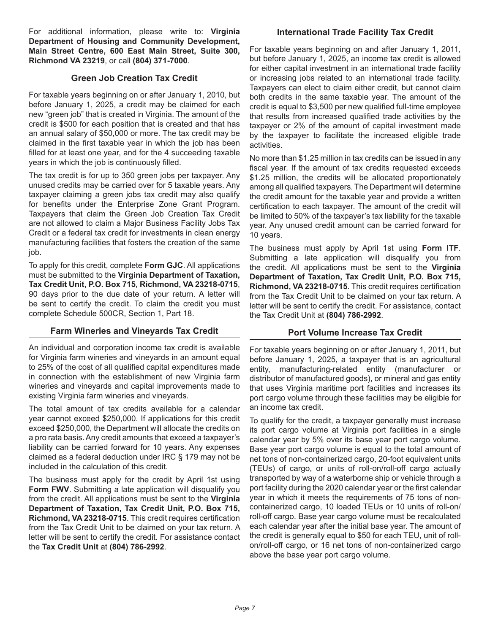For additional information, please write to: **Virginia Department of Housing and Community Development, Main Street Centre, 600 East Main Street, Suite 300, Richmond VA 23219**, or call **(804) 371-7000**.

#### **Green Job Creation Tax Credit**

For taxable years beginning on or after January 1, 2010, but before January 1, 2025, a credit may be claimed for each new "green job" that is created in Virginia. The amount of the credit is \$500 for each position that is created and that has an annual salary of \$50,000 or more. The tax credit may be claimed in the first taxable year in which the job has been filled for at least one year, and for the 4 succeeding taxable years in which the job is continuously filled.

The tax credit is for up to 350 green jobs per taxpayer. Any unused credits may be carried over for 5 taxable years. Any taxpayer claiming a green jobs tax credit may also qualify for benefits under the Enterprise Zone Grant Program. Taxpayers that claim the Green Job Creation Tax Credit are not allowed to claim a Major Business Facility Jobs Tax Credit or a federal tax credit for investments in clean energy manufacturing facilities that fosters the creation of the same job.

To apply for this credit, complete **Form GJC**. All applications must be submitted to the **Virginia Department of Taxation, Tax Credit Unit, P.O. Box 715, Richmond, VA 23218-0715**, 90 days prior to the due date of your return. A letter will be sent to certify the credit. To claim the credit you must complete Schedule 500CR, Section 1, Part 18.

## **Farm Wineries and Vineyards Tax Credit**

An individual and corporation income tax credit is available for Virginia farm wineries and vineyards in an amount equal to 25% of the cost of all qualified capital expenditures made in connection with the establishment of new Virginia farm wineries and vineyards and capital improvements made to existing Virginia farm wineries and vineyards.

The total amount of tax credits available for a calendar year cannot exceed \$250,000. If applications for this credit exceed \$250,000, the Department will allocate the credits on a pro rata basis. Any credit amounts that exceed a taxpayer's liability can be carried forward for 10 years. Any expenses claimed as a federal deduction under IRC § 179 may not be included in the calculation of this credit.

The business must apply for the credit by April 1st using **Form FWV.** Submitting a late application will disqualify you from the credit. All applications must be sent to the **Virginia Department of Taxation, Tax Credit Unit, P.O. Box 715, Richmond, VA 23218-0715**. This credit requires certification from the Tax Credit Unit to be claimed on your tax return. A letter will be sent to certify the credit. For assistance contact the **Tax Credit Unit** at **(804) 786-2992**.

For taxable years beginning on and after January 1, 2011, but before January 1, 2025, an income tax credit is allowed for either capital investment in an international trade facility or increasing jobs related to an international trade facility. Taxpayers can elect to claim either credit, but cannot claim both credits in the same taxable year. The amount of the credit is equal to \$3,500 per new qualified full-time employee that results from increased qualified trade activities by the taxpayer or 2% of the amount of capital investment made by the taxpayer to facilitate the increased eligible trade activities.

**International Trade Facility Tax Credit**

No more than \$1.25 million in tax credits can be issued in any fiscal year. If the amount of tax credits requested exceeds \$1.25 million, the credits will be allocated proportionately among all qualified taxpayers. The Department will determine the credit amount for the taxable year and provide a written certification to each taxpayer. The amount of the credit will be limited to 50% of the taxpayer's tax liability for the taxable year. Any unused credit amount can be carried forward for 10 years.

The business must apply by April 1st using **Form ITF**. Submitting a late application will disqualify you from the credit. All applications must be sent to the **Virginia Department of Taxation, Tax Credit Unit, P.O. Box 715, Richmond, VA 23218-0715**. This credit requires certification from the Tax Credit Unit to be claimed on your tax return. A letter will be sent to certify the credit. For assistance, contact the Tax Credit Unit at **(804) 786‑2992**.

#### **Port Volume Increase Tax Credit**

For taxable years beginning on or after January 1, 2011, but before January 1, 2025, a taxpayer that is an agricultural entity, manufacturing-related entity (manufacturer or distributor of manufactured goods), or mineral and gas entity that uses Virginia maritime port facilities and increases its port cargo volume through these facilities may be eligible for an income tax credit.

To qualify for the credit, a taxpayer generally must increase its port cargo volume at Virginia port facilities in a single calendar year by 5% over its base year port cargo volume. Base year port cargo volume is equal to the total amount of net tons of non-containerized cargo, 20-foot equivalent units (TEUs) of cargo, or units of roll-on/roll-off cargo actually transported by way of a waterborne ship or vehicle through a port facility during the 2020 calendar year or the first calendar year in which it meets the requirements of 75 tons of noncontainerized cargo, 10 loaded TEUs or 10 units of roll-on/ roll-off cargo. Base year cargo volume must be recalculated each calendar year after the initial base year. The amount of the credit is generally equal to \$50 for each TEU, unit of rollon/roll-off cargo, or 16 net tons of non-containerized cargo above the base year port cargo volume.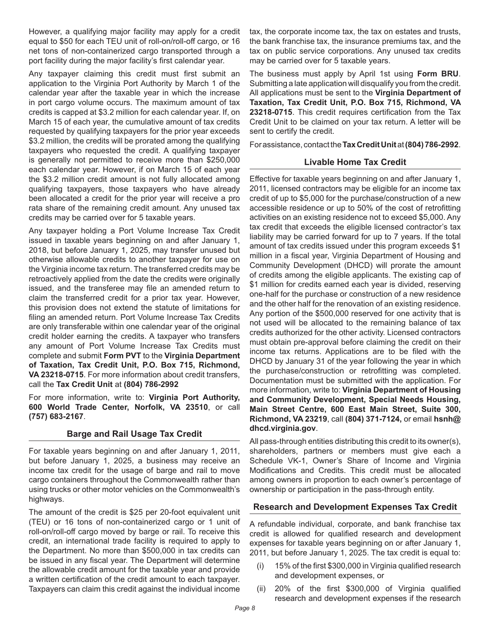However, a qualifying major facility may apply for a credit equal to \$50 for each TEU unit of roll-on/roll-off cargo, or 16 net tons of non-containerized cargo transported through a port facility during the major facility's first calendar year.

Any taxpayer claiming this credit must first submit an application to the Virginia Port Authority by March 1 of the calendar year after the taxable year in which the increase in port cargo volume occurs. The maximum amount of tax credits is capped at \$3.2 million for each calendar year. If, on March 15 of each year, the cumulative amount of tax credits requested by qualifying taxpayers for the prior year exceeds \$3.2 million, the credits will be prorated among the qualifying taxpayers who requested the credit. A qualifying taxpayer is generally not permitted to receive more than \$250,000 each calendar year. However, if on March 15 of each year the \$3.2 million credit amount is not fully allocated among qualifying taxpayers, those taxpayers who have already been allocated a credit for the prior year will receive a pro rata share of the remaining credit amount. Any unused tax credits may be carried over for 5 taxable years.

Any taxpayer holding a Port Volume Increase Tax Credit issued in taxable years beginning on and after January 1, 2018, but before January 1, 2025, may transfer unused but otherwise allowable credits to another taxpayer for use on the Virginia income tax return. The transferred credits may be retroactively applied from the date the credits were originally issued, and the transferee may file an amended return to claim the transferred credit for a prior tax year. However, this provision does not extend the statute of limitations for filing an amended return. Port Volume Increase Tax Credits are only transferable within one calendar year of the original credit holder earning the credits. A taxpayer who transfers any amount of Port Volume Increase Tax Credits must complete and submit **Form PVT** to the **Virginia Department of Taxation, Tax Credit Unit, P.O. Box 715, Richmond, VA 23218-0715**. For more information about credit transfers, call the **Tax Credit Unit** at **(804) 786-2992** 

For more information, write to: **Virginia Port Authority, 600 World Trade Center, Norfolk, VA 23510**, or call **(757) 683-2167**.

#### **Barge and Rail Usage Tax Credit**

For taxable years beginning on and after January 1, 2011, but before January 1, 2025, a business may receive an income tax credit for the usage of barge and rail to move cargo containers throughout the Commonwealth rather than using trucks or other motor vehicles on the Commonwealth's highways.

The amount of the credit is \$25 per 20-foot equivalent unit (TEU) or 16 tons of non-containerized cargo or 1 unit of roll-on/roll-off cargo moved by barge or rail. To receive this credit, an international trade facility is required to apply to the Department. No more than \$500,000 in tax credits can be issued in any fiscal year. The Department will determine the allowable credit amount for the taxable year and provide a written certification of the credit amount to each taxpayer. Taxpayers can claim this credit against the individual income

tax, the corporate income tax, the tax on estates and trusts, the bank franchise tax, the insurance premiums tax, and the tax on public service corporations. Any unused tax credits may be carried over for 5 taxable years.

The business must apply by April 1st using **Form BRU**. Submitting a late application will disqualify you from the credit. All applications must be sent to the **Virginia Department of Taxation, Tax Credit Unit, P.O. Box 715, Richmond, VA 23218-0715**. This credit requires certification from the Tax Credit Unit to be claimed on your tax return. A letter will be sent to certify the credit.

For assistance, contact the **Tax Credit Unit** at **(804) 786‑2992**.

## **Livable Home Tax Credit**

Effective for taxable years beginning on and after January 1, 2011, licensed contractors may be eligible for an income tax credit of up to \$5,000 for the purchase/construction of a new accessible residence or up to 50% of the cost of retrofitting activities on an existing residence not to exceed \$5,000. Any tax credit that exceeds the eligible licensed contractor's tax liability may be carried forward for up to 7 years. If the total amount of tax credits issued under this program exceeds \$1 million in a fiscal year, Virginia Department of Housing and Community Development (DHCD) will prorate the amount of credits among the eligible applicants. The existing cap of \$1 million for credits earned each year is divided, reserving one-half for the purchase or construction of a new residence and the other half for the renovation of an existing residence. Any portion of the \$500,000 reserved for one activity that is not used will be allocated to the remaining balance of tax credits authorized for the other activity. Licensed contractors must obtain pre-approval before claiming the credit on their income tax returns. Applications are to be filed with the DHCD by January 31 of the year following the year in which the purchase/construction or retrofitting was completed. Documentation must be submitted with the application. For more information, write to: **Virginia Department of Housing and Community Development, Special Needs Housing, Main Street Centre, 600 East Main Street, Suite 300, Richmond, VA 23219**, call **(804) 371-7124,** or email **hsnh@ dhcd.virginia.gov**.

All pass-through entities distributing this credit to its owner(s), shareholders, partners or members must give each a Schedule VK-1, Owner's Share of Income and Virginia Modifications and Credits. This credit must be allocated among owners in proportion to each owner's percentage of ownership or participation in the pass-through entity.

## **Research and Development Expenses Tax Credit**

A refundable individual, corporate, and bank franchise tax credit is allowed for qualified research and development expenses for taxable years beginning on or after January 1, 2011, but before January 1, 2025. The tax credit is equal to:

- (i) 15% of the first \$300,000 in Virginia qualified research and development expenses, or
- (ii) 20% of the first \$300,000 of Virginia qualified research and development expenses if the research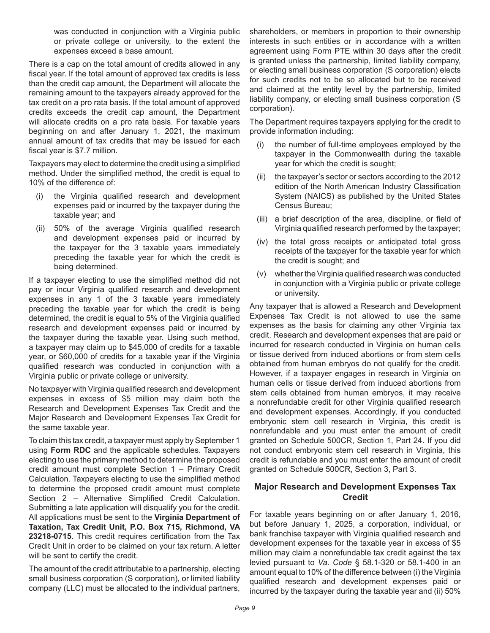was conducted in conjunction with a Virginia public or private college or university, to the extent the expenses exceed a base amount.

There is a cap on the total amount of credits allowed in any fiscal year. If the total amount of approved tax credits is less than the credit cap amount, the Department will allocate the remaining amount to the taxpayers already approved for the tax credit on a pro rata basis. If the total amount of approved credits exceeds the credit cap amount, the Department will allocate credits on a pro rata basis. For taxable years beginning on and after January 1, 2021, the maximum annual amount of tax credits that may be issued for each fiscal year is \$7.7 million.

Taxpayers may elect to determine the credit using a simplified method. Under the simplified method, the credit is equal to 10% of the difference of:

- the Virginia qualified research and development expenses paid or incurred by the taxpayer during the taxable year; and
- (ii) 50% of the average Virginia qualified research and development expenses paid or incurred by the taxpayer for the 3 taxable years immediately preceding the taxable year for which the credit is being determined.

If a taxpayer electing to use the simplified method did not pay or incur Virginia qualified research and development expenses in any 1 of the 3 taxable years immediately preceding the taxable year for which the credit is being determined, the credit is equal to 5% of the Virginia qualified research and development expenses paid or incurred by the taxpayer during the taxable year. Using such method, a taxpayer may claim up to \$45,000 of credits for a taxable year, or \$60,000 of credits for a taxable year if the Virginia qualified research was conducted in conjunction with a Virginia public or private college or university.

No taxpayer with Virginia qualified research and development expenses in excess of \$5 million may claim both the Research and Development Expenses Tax Credit and the Major Research and Development Expenses Tax Credit for the same taxable year.

To claim this tax credit, a taxpayer must apply by September 1 using **Form RDC** and the applicable schedules. Taxpayers electing to use the primary method to determine the proposed credit amount must complete Section 1 – Primary Credit Calculation. Taxpayers electing to use the simplified method to determine the proposed credit amount must complete Section 2 – Alternative Simplified Credit Calculation. Submitting a late application will disqualify you for the credit. All applications must be sent to the **Virginia Department of Taxation, Tax Credit Unit, P.O. Box 715, Richmond, VA 23218-0715**. This credit requires certification from the Tax Credit Unit in order to be claimed on your tax return. A letter will be sent to certify the credit.

The amount of the credit attributable to a partnership, electing small business corporation (S corporation), or limited liability company (LLC) must be allocated to the individual partners, shareholders, or members in proportion to their ownership interests in such entities or in accordance with a written agreement using Form PTE within 30 days after the credit is granted unless the partnership, limited liability company, or electing small business corporation (S corporation) elects for such credits not to be so allocated but to be received and claimed at the entity level by the partnership, limited liability company, or electing small business corporation (S corporation).

The Department requires taxpayers applying for the credit to provide information including:

- (i) the number of full-time employees employed by the taxpayer in the Commonwealth during the taxable year for which the credit is sought;
- (ii) the taxpayer's sector or sectors according to the 2012 edition of the North American Industry Classification System (NAICS) as published by the United States Census Bureau;
- (iii) a brief description of the area, discipline, or field of Virginia qualified research performed by the taxpayer;
- (iv) the total gross receipts or anticipated total gross receipts of the taxpayer for the taxable year for which the credit is sought; and
- (v) whether the Virginia qualified research was conducted in conjunction with a Virginia public or private college or university.

Any taxpayer that is allowed a Research and Development Expenses Tax Credit is not allowed to use the same expenses as the basis for claiming any other Virginia tax credit. Research and development expenses that are paid or incurred for research conducted in Virginia on human cells or tissue derived from induced abortions or from stem cells obtained from human embryos do not qualify for the credit. However, if a taxpayer engages in research in Virginia on human cells or tissue derived from induced abortions from stem cells obtained from human embryos, it may receive a nonrefundable credit for other Virginia qualified research and development expenses. Accordingly, if you conducted embryonic stem cell research in Virginia, this credit is nonrefundable and you must enter the amount of credit granted on Schedule 500CR, Section 1, Part 24. If you did not conduct embryonic stem cell research in Virginia, this credit is refundable and you must enter the amount of credit granted on Schedule 500CR, Section 3, Part 3.

## **Major Research and Development Expenses Tax Credit**

For taxable years beginning on or after January 1, 2016, but before January 1, 2025, a corporation, individual, or bank franchise taxpayer with Virginia qualified research and development expenses for the taxable year in excess of \$5 million may claim a nonrefundable tax credit against the tax levied pursuant to *Va. Code* § 58.1-320 or 58.1-400 in an amount equal to 10% of the difference between (i) the Virginia qualified research and development expenses paid or incurred by the taxpayer during the taxable year and (ii) 50%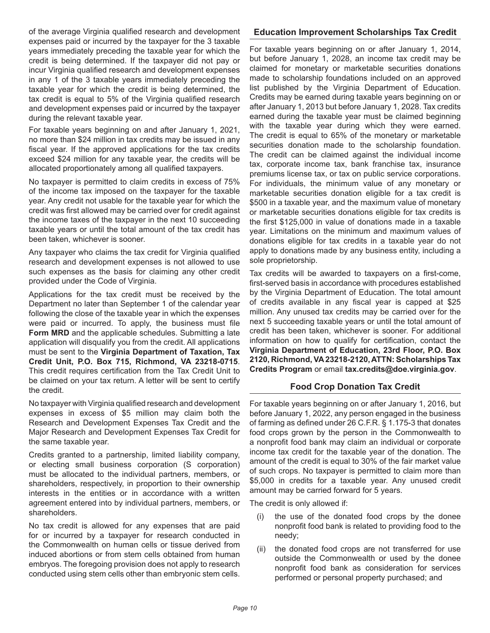of the average Virginia qualified research and development expenses paid or incurred by the taxpayer for the 3 taxable years immediately preceding the taxable year for which the credit is being determined. If the taxpayer did not pay or incur Virginia qualified research and development expenses in any 1 of the 3 taxable years immediately preceding the taxable year for which the credit is being determined, the tax credit is equal to 5% of the Virginia qualified research and development expenses paid or incurred by the taxpayer during the relevant taxable year.

For taxable years beginning on and after January 1, 2021, no more than \$24 million in tax credits may be issued in any fiscal year. If the approved applications for the tax credits exceed \$24 million for any taxable year, the credits will be allocated proportionately among all qualified taxpayers.

No taxpayer is permitted to claim credits in excess of 75% of the income tax imposed on the taxpayer for the taxable year. Any credit not usable for the taxable year for which the credit was first allowed may be carried over for credit against the income taxes of the taxpayer in the next 10 succeeding taxable years or until the total amount of the tax credit has been taken, whichever is sooner.

Any taxpayer who claims the tax credit for Virginia qualified research and development expenses is not allowed to use such expenses as the basis for claiming any other credit provided under the Code of Virginia.

Applications for the tax credit must be received by the Department no later than September 1 of the calendar year following the close of the taxable year in which the expenses were paid or incurred. To apply, the business must file **Form MRD** and the applicable schedules. Submitting a late application will disqualify you from the credit. All applications must be sent to the **Virginia Department of Taxation, Tax Credit Unit, P.O. Box 715, Richmond, VA 23218-0715**. This credit requires certification from the Tax Credit Unit to be claimed on your tax return. A letter will be sent to certify the credit.

No taxpayer with Virginia qualified research and development expenses in excess of \$5 million may claim both the Research and Development Expenses Tax Credit and the Major Research and Development Expenses Tax Credit for the same taxable year.

Credits granted to a partnership, limited liability company, or electing small business corporation (S corporation) must be allocated to the individual partners, members, or shareholders, respectively, in proportion to their ownership interests in the entities or in accordance with a written agreement entered into by individual partners, members, or shareholders.

No tax credit is allowed for any expenses that are paid for or incurred by a taxpayer for research conducted in the Commonwealth on human cells or tissue derived from induced abortions or from stem cells obtained from human embryos. The foregoing provision does not apply to research conducted using stem cells other than embryonic stem cells.

## **Education Improvement Scholarships Tax Credit**

For taxable years beginning on or after January 1, 2014, but before January 1, 2028, an income tax credit may be claimed for monetary or marketable securities donations made to scholarship foundations included on an approved list published by the Virginia Department of Education. Credits may be earned during taxable years beginning on or after January 1, 2013 but before January 1, 2028. Tax credits earned during the taxable year must be claimed beginning with the taxable year during which they were earned. The credit is equal to 65% of the monetary or marketable securities donation made to the scholarship foundation. The credit can be claimed against the individual income tax, corporate income tax, bank franchise tax, insurance premiums license tax, or tax on public service corporations. For individuals, the minimum value of any monetary or marketable securities donation eligible for a tax credit is \$500 in a taxable year, and the maximum value of monetary or marketable securities donations eligible for tax credits is the first \$125,000 in value of donations made in a taxable year. Limitations on the minimum and maximum values of donations eligible for tax credits in a taxable year do not apply to donations made by any business entity, including a sole proprietorship.

Tax credits will be awarded to taxpayers on a first-come, first-served basis in accordance with procedures established by the Virginia Department of Education. The total amount of credits available in any fiscal year is capped at \$25 million. Any unused tax credits may be carried over for the next 5 succeeding taxable years or until the total amount of credit has been taken, whichever is sooner. For additional information on how to qualify for certification, contact the **Virginia Department of Education, 23rd Floor, P.O. Box 2120, Richmond, VA 23218-2120, ATTN: Scholarships Tax Credits Program** or email **tax.credits@doe.virginia.gov**.

## **Food Crop Donation Tax Credit**

For taxable years beginning on or after January 1, 2016, but before January 1, 2022, any person engaged in the business of farming as defined under 26 C.F.R. § 1.175-3 that donates food crops grown by the person in the Commonwealth to a nonprofit food bank may claim an individual or corporate income tax credit for the taxable year of the donation. The amount of the credit is equal to 30% of the fair market value of such crops. No taxpayer is permitted to claim more than \$5,000 in credits for a taxable year. Any unused credit amount may be carried forward for 5 years.

The credit is only allowed if:

- (i) the use of the donated food crops by the donee nonprofit food bank is related to providing food to the needy;
- (ii) the donated food crops are not transferred for use outside the Commonwealth or used by the donee nonprofit food bank as consideration for services performed or personal property purchased; and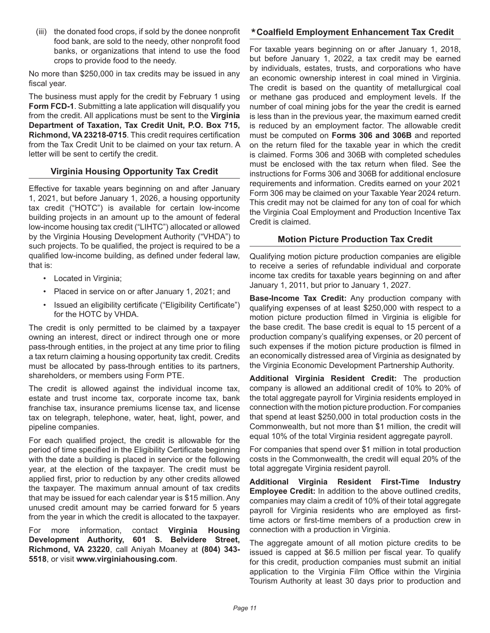(iii) the donated food crops, if sold by the donee nonprofit food bank, are sold to the needy, other nonprofit food banks, or organizations that intend to use the food crops to provide food to the needy.

No more than \$250,000 in tax credits may be issued in any fiscal year.

The business must apply for the credit by February 1 using **Form FCD-1**. Submitting a late application will disqualify you from the credit. All applications must be sent to the **Virginia Department of Taxation, Tax Credit Unit, P.O. Box 715, Richmond, VA 23218-0715**. This credit requires certification from the Tax Credit Unit to be claimed on your tax return. A letter will be sent to certify the credit.

# **Virginia Housing Opportunity Tax Credit**

Effective for taxable years beginning on and after January 1, 2021, but before January 1, 2026, a housing opportunity tax credit ("HOTC") is available for certain low-income building projects in an amount up to the amount of federal low-income housing tax credit ("LIHTC") allocated or allowed by the Virginia Housing Development Authority ("VHDA") to such projects. To be qualified, the project is required to be a qualified low-income building, as defined under federal law, that is:

- Located in Virginia;
- Placed in service on or after January 1, 2021; and
- Issued an eligibility certificate ("Eligibility Certificate") for the HOTC by VHDA.

The credit is only permitted to be claimed by a taxpayer owning an interest, direct or indirect through one or more pass-through entities, in the project at any time prior to filing a tax return claiming a housing opportunity tax credit. Credits must be allocated by pass-through entities to its partners, shareholders, or members using Form PTE.

The credit is allowed against the individual income tax, estate and trust income tax, corporate income tax, bank franchise tax, insurance premiums license tax, and license tax on telegraph, telephone, water, heat, light, power, and pipeline companies.

For each qualified project, the credit is allowable for the period of time specified in the Eligibility Certificate beginning with the date a building is placed in service or the following year, at the election of the taxpayer. The credit must be applied first, prior to reduction by any other credits allowed the taxpayer. The maximum annual amount of tax credits that may be issued for each calendar year is \$15 million. Any unused credit amount may be carried forward for 5 years from the year in which the credit is allocated to the taxpayer.

For more information, contact **Virginia Housing Development Authority, 601 S. Belvidere Street, Richmond, VA 23220**, call Aniyah Moaney at **(804) 343- 5518**, or visit **www.virginiahousing.com**.

# **Coalfield Employment Enhancement Tax Credit \***

For taxable years beginning on or after January 1, 2018, but before January 1, 2022, a tax credit may be earned by individuals, estates, trusts, and corporations who have an economic ownership interest in coal mined in Virginia. The credit is based on the quantity of metallurgical coal or methane gas produced and employment levels. If the number of coal mining jobs for the year the credit is earned is less than in the previous year, the maximum earned credit is reduced by an employment factor. The allowable credit must be computed on **Forms 306 and 306B** and reported on the return filed for the taxable year in which the credit is claimed. Forms 306 and 306B with completed schedules must be enclosed with the tax return when filed. See the instructions for Forms 306 and 306B for additional enclosure requirements and information. Credits earned on your 2021 Form 306 may be claimed on your Taxable Year 2024 return. This credit may not be claimed for any ton of coal for which the Virginia Coal Employment and Production Incentive Tax Credit is claimed.

# **Motion Picture Production Tax Credit**

Qualifying motion picture production companies are eligible to receive a series of refundable individual and corporate income tax credits for taxable years beginning on and after January 1, 2011, but prior to January 1, 2027.

**Base-Income Tax Credit:** Any production company with qualifying expenses of at least \$250,000 with respect to a motion picture production filmed in Virginia is eligible for the base credit. The base credit is equal to 15 percent of a production company's qualifying expenses, or 20 percent of such expenses if the motion picture production is filmed in an economically distressed area of Virginia as designated by the Virginia Economic Development Partnership Authority.

**Additional Virginia Resident Credit:** The production company is allowed an additional credit of 10% to 20% of the total aggregate payroll for Virginia residents employed in connection with the motion picture production. For companies that spend at least \$250,000 in total production costs in the Commonwealth, but not more than \$1 million, the credit will equal 10% of the total Virginia resident aggregate payroll.

For companies that spend over \$1 million in total production costs in the Commonwealth, the credit will equal 20% of the total aggregate Virginia resident payroll.

**Additional Virginia Resident First-Time Industry Employee Credit:** In addition to the above outlined credits, companies may claim a credit of 10% of their total aggregate payroll for Virginia residents who are employed as firsttime actors or first-time members of a production crew in connection with a production in Virginia.

The aggregate amount of all motion picture credits to be issued is capped at \$6.5 million per fiscal year. To qualify for this credit, production companies must submit an initial application to the Virginia Film Office within the Virginia Tourism Authority at least 30 days prior to production and